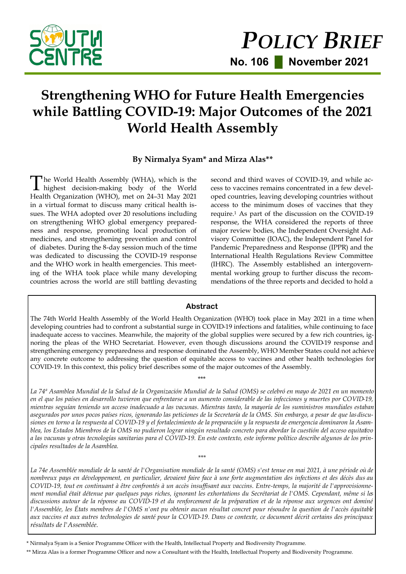

# **Strengthening WHO for Future Health Emergencies while Battling COVID-19: Major Outcomes of the 2021 World Health Assembly**

## **By Nirmalya Syam\* and Mirza Alas\*\***

The World Health Assembly (WHA), which is the<br>highest decision-making body of the World he World Health Assembly (WHA), which is the Health Organization (WHO), met on 24–31 May 2021 in a virtual format to discuss many critical health issues. The WHA adopted over 20 resolutions including on strengthening WHO global emergency preparedness and response, promoting local production of medicines, and strengthening prevention and control of diabetes. During the 8-day session much of the time was dedicated to discussing the COVID-19 response and the WHO work in health emergencies. This meeting of the WHA took place while many developing countries across the world are still battling devasting

second and third waves of COVID-19, and while access to vaccines remains concentrated in a few developed countries, leaving developing countries without access to the minimum doses of vaccines that they require.<sup>1</sup> As part of the discussion on the COVID-19 response, the WHA considered the reports of three major review bodies, the Independent Oversight Advisory Committee (IOAC), the Independent Panel for Pandemic Preparedness and Response (IPPR) and the International Health Regulations Review Committee (IHRC). The Assembly established an intergovernmental working group to further discuss the recommendations of the three reports and decided to hold a

#### **Abstract**

The 74th World Health Assembly of the World Health Organization (WHO) took place in May 2021 in a time when developing countries had to confront a substantial surge in COVID-19 infections and fatalities, while continuing to face inadequate access to vaccines. Meanwhile, the majority of the global supplies were secured by a few rich countries, ignoring the pleas of the WHO Secretariat. However, even though discussions around the COVID-19 response and strengthening emergency preparedness and response dominated the Assembly, WHO Member States could not achieve any concrete outcome to addressing the question of equitable access to vaccines and other health technologies for COVID-19. In this context, this policy brief describes some of the major outcomes of the Assembly.

\*\*\*

*La 74ª Asamblea Mundial de la Salud de la Organización Mundial de la Salud (OMS) se celebró en mayo de 2021 en un momento en el que los países en desarrollo tuvieron que enfrentarse a un aumento considerable de las infecciones y muertes por COVID-19, mientras seguían teniendo un acceso inadecuado a las vacunas. Mientras tanto, la mayoría de los suministros mundiales estaban asegurados por unos pocos países ricos, ignorando las peticiones de la Secretaría de la OMS. Sin embargo, a pesar de que las discusiones en torno a la respuesta al COVID-19 y el fortalecimiento de la preparación y la respuesta de emergencia dominaron la Asamblea, los Estados Miembros de la OMS no pudieron lograr ningún resultado concreto para abordar la cuestión del acceso equitativo a las vacunas y otras tecnologías sanitarias para el COVID-19. En este contexto, este informe político describe algunos de los principales resultados de la Asamblea.*

La 74e Assemblée mondiale de la santé de l'Organisation mondiale de la santé (OMS) s'est tenue en mai 2021, à une période où de *nombreux pays en développement, en particulier, devaient faire face à une forte augmentation des infections et des décès dus au COVID-19, tout en continuant à être confrontés à un accès insuffisant aux vaccins. Entre-temps, la majorité de l'approvisionnement mondial était détenue par quelques pays riches, ignorant les exhortations du Secrétariat de l'OMS. Cependant, même si les discussions autour de la réponse au COVID-19 et du renforcement de la préparation et de la réponse aux urgences ont dominé l'Assemblée, les États membres de l'OMS n'ont pu obtenir aucun résultat concret pour résoudre la question de l'accès équitable aux vaccins et aux autres technologies de santé pour la COVID-19. Dans ce contexte, ce document décrit certains des principaux résultats de l'Assemblée.*

*\*\*\**

\* Nirmalya Syam is a Senior Programme Officer with the Health, Intellectual Property and Biodiversity Programme.

\*\* Mirza Alas is a former Programme Officer and now a Consultant with the Health, Intellectual Property and Biodiversity Programme.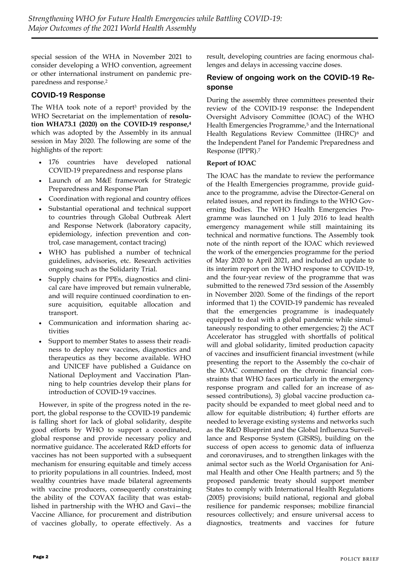special session of the WHA in November 2021 to consider developing a WHO convention, agreement or other international instrument on pandemic preparedness and response.<sup>2</sup>

## **COVID-19 Response**

The WHA took note of a report<sup>3</sup> provided by the WHO Secretariat on the implementation of **resolution WHA73.1 (2020) on the COVID-19 response,<sup>4</sup>** which was adopted by the Assembly in its annual session in May 2020. The following are some of the highlights of the report:

- 176 countries have developed national COVID-19 preparedness and response plans
- Launch of an M&E framework for Strategic Preparedness and Response Plan
- Coordination with regional and country offices
- Substantial operational and technical support to countries through Global Outbreak Alert and Response Network (laboratory capacity, epidemiology, infection prevention and control, case management, contact tracing)
- WHO has published a number of technical guidelines, advisories, etc. Research activities ongoing such as the Solidarity Trial.
- Supply chains for PPEs, diagnostics and clinical care have improved but remain vulnerable, and will require continued coordination to ensure acquisition, equitable allocation and transport.
- Communication and information sharing activities
- Support to member States to assess their readiness to deploy new vaccines, diagnostics and therapeutics as they become available. WHO and UNICEF have published a Guidance on National Deployment and Vaccination Planning to help countries develop their plans for introduction of COVID-19 vaccines.

However, in spite of the progress noted in the report, the global response to the COVID-19 pandemic is falling short for lack of global solidarity, despite good efforts by WHO to support a coordinated, global response and provide necessary policy and normative guidance. The accelerated R&D efforts for vaccines has not been supported with a subsequent mechanism for ensuring equitable and timely access to priority populations in all countries. Indeed, most wealthy countries have made bilateral agreements with vaccine producers, consequently constraining the ability of the COVAX facility that was established in partnership with the WHO and Gavi—the Vaccine Alliance, for procurement and distribution of vaccines globally, to operate effectively. As a result, developing countries are facing enormous challenges and delays in accessing vaccine doses.

### **Review of ongoing work on the COVID-19 Response**

During the assembly three committees presented their review of the COVID-19 response: the Independent Oversight Advisory Committee (IOAC) of the WHO Health Emergencies Programme,<sup>5</sup> and the International Health Regulations Review Committee (IHRC)<sup>6</sup> and the Independent Panel for Pandemic Preparedness and Response (IPPR).<sup>7</sup>

#### **Report of IOAC**

The IOAC has the mandate to review the performance of the Health Emergencies programme, provide guidance to the programme, advise the Director-General on related issues, and report its findings to the WHO Governing Bodies. The WHO Health Emergencies Programme was launched on 1 July 2016 to lead health emergency management while still maintaining its technical and normative functions. The Assembly took note of the ninth report of the IOAC which reviewed the work of the emergencies programme for the period of May 2020 to April 2021, and included an update to its interim report on the WHO response to COVID-19, and the four-year review of the programme that was submitted to the renewed 73rd session of the Assembly in November 2020. Some of the findings of the report informed that 1) the COVID-19 pandemic has revealed that the emergencies programme is inadequately equipped to deal with a global pandemic while simultaneously responding to other emergencies; 2) the ACT Accelerator has struggled with shortfalls of political will and global solidarity, limited production capacity of vaccines and insufficient financial investment (while presenting the report to the Assembly the co-chair of the IOAC commented on the chronic financial constraints that WHO faces particularly in the emergency response program and called for an increase of assessed contributions), 3) global vaccine production capacity should be expanded to meet global need and to allow for equitable distribution; 4) further efforts are needed to leverage existing systems and networks such as the R&D Blueprint and the Global Influenza Surveillance and Response System (GISRS), building on the success of open access to genomic data of influenza and coronaviruses, and to strengthen linkages with the animal sector such as the World Organisation for Animal Health and other One Health partners; and 5) the proposed pandemic treaty should support member States to comply with International Health Regulations (2005) provisions; build national, regional and global resilience for pandemic responses; mobilize financial resources collectively; and ensure universal access to diagnostics, treatments and vaccines for future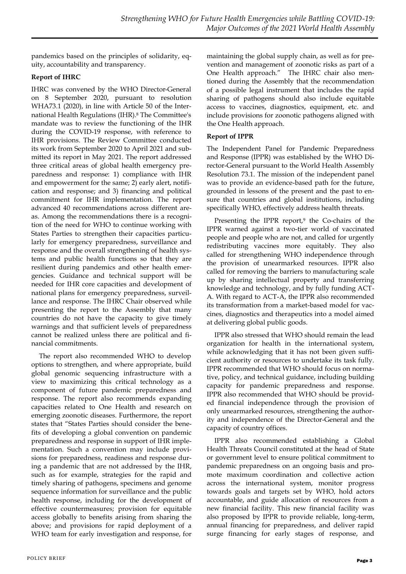pandemics based on the principles of solidarity, equity, accountability and transparency.

#### **Report of IHRC**

IHRC was convened by the WHO Director-General on 8 September 2020, pursuant to resolution WHA73.1 (2020), in line with Article 50 of the International Health Regulations (IHR).<sup>8</sup> The Committee's mandate was to review the functioning of the IHR during the COVID-19 response, with reference to IHR provisions. The Review Committee conducted its work from September 2020 to April 2021 and submitted its report in May 2021. The report addressed three critical areas of global health emergency preparedness and response: 1) compliance with IHR and empowerment for the same; 2) early alert, notification and response; and 3) financing and political commitment for IHR implementation. The report advanced 40 recommendations across different areas. Among the recommendations there is a recognition of the need for WHO to continue working with States Parties to strengthen their capacities particularly for emergency preparedness, surveillance and response and the overall strengthening of health systems and public health functions so that they are resilient during pandemics and other health emergencies. Guidance and technical support will be needed for IHR core capacities and development of national plans for emergency preparedness, surveillance and response. The IHRC Chair observed while presenting the report to the Assembly that many countries do not have the capacity to give timely warnings and that sufficient levels of preparedness cannot be realized unless there are political and financial commitments.

The report also recommended WHO to develop options to strengthen, and where appropriate, build global genomic sequencing infrastructure with a view to maximizing this critical technology as a component of future pandemic preparedness and response. The report also recommends expanding capacities related to One Health and research on emerging zoonotic diseases. Furthermore, the report states that "States Parties should consider the benefits of developing a global convention on pandemic preparedness and response in support of IHR implementation. Such a convention may include provisions for preparedness, readiness and response during a pandemic that are not addressed by the IHR, such as for example, strategies for the rapid and timely sharing of pathogens, specimens and genome sequence information for surveillance and the public health response, including for the development of effective countermeasures; provision for equitable access globally to benefits arising from sharing the above; and provisions for rapid deployment of a WHO team for early investigation and response, for

maintaining the global supply chain, as well as for prevention and management of zoonotic risks as part of a One Health approach." The IHRC chair also mentioned during the Assembly that the recommendation of a possible legal instrument that includes the rapid sharing of pathogens should also include equitable access to vaccines, diagnostics, equipment, etc. and include provisions for zoonotic pathogens aligned with the One Health approach.

#### **Report of IPPR**

The Independent Panel for Pandemic Preparedness and Response (IPPR) was established by the WHO Director-General pursuant to the World Health Assembly Resolution 73.1. The mission of the independent panel was to provide an evidence-based path for the future, grounded in lessons of the present and the past to ensure that countries and global institutions, including specifically WHO, effectively address health threats.

Presenting the IPPR report,<sup>9</sup> the Co-chairs of the IPPR warned against a two-tier world of vaccinated people and people who are not, and called for urgently redistributing vaccines more equitably. They also called for strengthening WHO independence through the provision of unearmarked resources. IPPR also called for removing the barriers to manufacturing scale up by sharing intellectual property and transferring knowledge and technology, and by fully funding ACT-A. With regard to ACT-A, the IPPR also recommended its transformation from a market-based model for vaccines, diagnostics and therapeutics into a model aimed at delivering global public goods.

IPPR also stressed that WHO should remain the lead organization for health in the international system, while acknowledging that it has not been given sufficient authority or resources to undertake its task fully. IPPR recommended that WHO should focus on normative, policy, and technical guidance, including building capacity for pandemic preparedness and response. IPPR also recommended that WHO should be provided financial independence through the provision of only unearmarked resources, strengthening the authority and independence of the Director-General and the capacity of country offices.

IPPR also recommended establishing a Global Health Threats Council constituted at the head of State or government level to ensure political commitment to pandemic preparedness on an ongoing basis and promote maximum coordination and collective action across the international system, monitor progress towards goals and targets set by WHO, hold actors accountable, and guide allocation of resources from a new financial facility. This new financial facility was also proposed by IPPR to provide reliable, long-term, annual financing for preparedness, and deliver rapid surge financing for early stages of response, and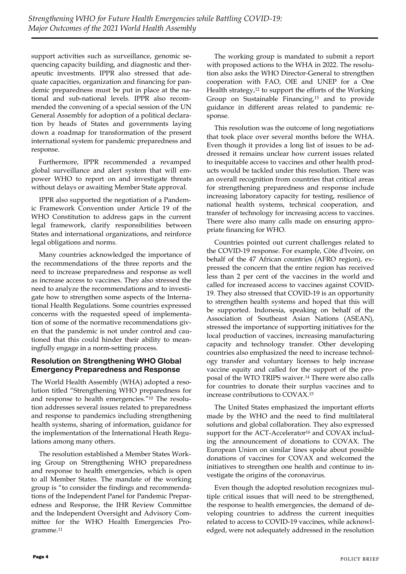support activities such as surveillance, genomic sequencing capacity building, and diagnostic and therapeutic investments. IPPR also stressed that adequate capacities, organization and financing for pandemic preparedness must be put in place at the national and sub-national levels. IPPR also recommended the convening of a special session of the UN General Assembly for adoption of a political declaration by heads of States and governments laying down a roadmap for transformation of the present international system for pandemic preparedness and response.

Furthermore, IPPR recommended a revamped global surveillance and alert system that will empower WHO to report on and investigate threats without delays or awaiting Member State approval.

IPPR also supported the negotiation of a Pandemic Framework Convention under Article 19 of the WHO Constitution to address gaps in the current legal framework, clarify responsibilities between States and international organizations, and reinforce legal obligations and norms.

Many countries acknowledged the importance of the recommendations of the three reports and the need to increase preparedness and response as well as increase access to vaccines. They also stressed the need to analyze the recommendations and to investigate how to strengthen some aspects of the International Health Regulations. Some countries expressed concerns with the requested speed of implementation of some of the normative recommendations given that the pandemic is not under control and cautioned that this could hinder their ability to meaningfully engage in a norm-setting process.

### **Resolution on Strengthening WHO Global Emergency Preparedness and Response**

The World Health Assembly (WHA) adopted a resolution titled "Strengthening WHO preparedness for and response to health emergencies."<sup>10</sup> The resolution addresses several issues related to preparedness and response to pandemics including strengthening health systems, sharing of information, guidance for the implementation of the International Heath Regulations among many others.

The resolution established a Member States Working Group on Strengthening WHO preparedness and response to health emergencies, which is open to all Member States. The mandate of the working group is "to consider the findings and recommendations of the Independent Panel for Pandemic Preparedness and Response, the IHR Review Committee and the Independent Oversight and Advisory Committee for the WHO Health Emergencies Programme.11

The working group is mandated to submit a report with proposed actions to the WHA in 2022. The resolution also asks the WHO Director-General to strengthen cooperation with FAO, OIE and UNEP for a One Health strategy,<sup>12</sup> to support the efforts of the Working Group on Sustainable Financing,<sup>13</sup> and to provide guidance in different areas related to pandemic response.

This resolution was the outcome of long negotiations that took place over several months before the WHA. Even though it provides a long list of issues to be addressed it remains unclear how current issues related to inequitable access to vaccines and other health products would be tackled under this resolution. There was an overall recognition from countries that critical areas for strengthening preparedness and response include increasing laboratory capacity for testing, resilience of national health systems, technical cooperation, and transfer of technology for increasing access to vaccines. There were also many calls made on ensuring appropriate financing for WHO.

Countries pointed out current challenges related to the COVID-19 response. For example, Côte d'Ivoire, on behalf of the 47 African countries (AFRO region), expressed the concern that the entire region has received less than 2 per cent of the vaccines in the world and called for increased access to vaccines against COVID-19. They also stressed that COVID-19 is an opportunity to strengthen health systems and hoped that this will be supported. Indonesia, speaking on behalf of the Association of Southeast Asian Nations (ASEAN), stressed the importance of supporting initiatives for the local production of vaccines, increasing manufacturing capacity and technology transfer. Other developing countries also emphasized the need to increase technology transfer and voluntary licenses to help increase vaccine equity and called for the support of the proposal of the WTO TRIPS waiver.<sup>14</sup> There were also calls for countries to donate their surplus vaccines and to increase contributions to COVAX.<sup>15</sup>

The United States emphasized the important efforts made by the WHO and the need to find multilateral solutions and global collaboration. They also expressed support for the ACT-Accelerator<sup>16</sup> and COVAX including the announcement of donations to COVAX. The European Union on similar lines spoke about possible donations of vaccines for COVAX and welcomed the initiatives to strengthen one health and continue to investigate the origins of the coronavirus.

Even though the adopted resolution recognizes multiple critical issues that will need to be strengthened, the response to health emergencies, the demand of developing countries to address the current inequities related to access to COVID-19 vaccines, while acknowledged, were not adequately addressed in the resolution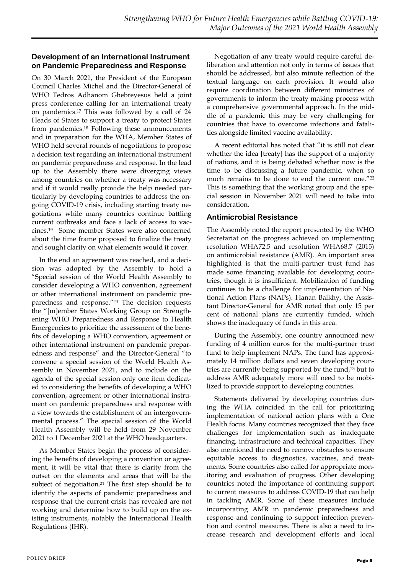#### **Development of an International Instrument on Pandemic Preparedness and Response**

On 30 March 2021, the President of the European Council Charles Michel and the Director-General of WHO Tedros Adhanom Ghebreyesus held a joint press conference calling for an international treaty on pandemics.<sup>17</sup> This was followed by a call of 24 Heads of States to support a treaty to protect States from pandemics.<sup>18</sup> Following these announcements and in preparation for the WHA, Member States of WHO held several rounds of negotiations to propose a decision text regarding an international instrument on pandemic preparedness and response. In the lead up to the Assembly there were diverging views among countries on whether a treaty was necessary and if it would really provide the help needed particularly by developing countries to address the ongoing COVID-19 crisis, including starting treaty negotiations while many countries continue battling current outbreaks and face a lack of access to vaccines.19 Some member States were also concerned about the time frame proposed to finalize the treaty and sought clarity on what elements would it cover.

In the end an agreement was reached, and a decision was adopted by the Assembly to hold a "Special session of the World Health Assembly to consider developing a WHO convention, agreement or other international instrument on pandemic preparedness and response."<sup>20</sup> The decision requests the "[m]ember States Working Group on Strengthening WHO Preparedness and Response to Health Emergencies to prioritize the assessment of the benefits of developing a WHO convention, agreement or other international instrument on pandemic preparedness and response" and the Director-General "to convene a special session of the World Health Assembly in November 2021, and to include on the agenda of the special session only one item dedicated to considering the benefits of developing a WHO convention, agreement or other international instrument on pandemic preparedness and response with a view towards the establishment of an intergovernmental process." The special session of the World Health Assembly will be held from 29 November 2021 to 1 December 2021 at the WHO headquarters.

As Member States begin the process of considering the benefits of developing a convention or agreement, it will be vital that there is clarity from the outset on the elements and areas that will be the subject of negotiation.<sup>21</sup> The first step should be to identify the aspects of pandemic preparedness and response that the current crisis has revealed are not working and determine how to build up on the existing instruments, notably the International Health Regulations (IHR).

Negotiation of any treaty would require careful deliberation and attention not only in terms of issues that should be addressed, but also minute reflection of the textual language on each provision. It would also require coordination between different ministries of governments to inform the treaty making process with a comprehensive governmental approach. In the middle of a pandemic this may be very challenging for countries that have to overcome infections and fatalities alongside limited vaccine availability.

A recent editorial has noted that "it is still not clear whether the idea [treaty] has the support of a majority of nations, and it is being debated whether now is the time to be discussing a future pandemic, when so much remains to be done to end the current one."<sup>22</sup> This is something that the working group and the special session in November 2021 will need to take into consideration.

## **Antimicrobial Resistance**

The Assembly noted the report presented by the WHO Secretariat on the progress achieved on implementing resolution WHA72.5 and resolution WHA68.7 (2015) on antimicrobial resistance (AMR). An important area highlighted is that the multi-partner trust fund has made some financing available for developing countries, though it is insufficient. Mobilization of funding continues to be a challenge for implementation of National Action Plans (NAPs). Hanan Balkhy, the Assistant Director-General for AMR noted that only 15 per cent of national plans are currently funded, which shows the inadequacy of funds in this area.

During the Assembly, one country announced new funding of 4 million euros for the multi-partner trust fund to help implement NAPs. The fund has approximately 14 million dollars and seven developing countries are currently being supported by the fund,<sup>23</sup> but to address AMR adequately more will need to be mobilized to provide support to developing countries.

Statements delivered by developing countries during the WHA coincided in the call for prioritizing implementation of national action plans with a One Health focus. Many countries recognized that they face challenges for implementation such as inadequate financing, infrastructure and technical capacities. They also mentioned the need to remove obstacles to ensure equitable access to diagnostics, vaccines, and treatments. Some countries also called for appropriate monitoring and evaluation of progress. Other developing countries noted the importance of continuing support to current measures to address COVID-19 that can help in tackling AMR. Some of these measures include incorporating AMR in pandemic preparedness and response and continuing to support infection prevention and control measures. There is also a need to increase research and development efforts and local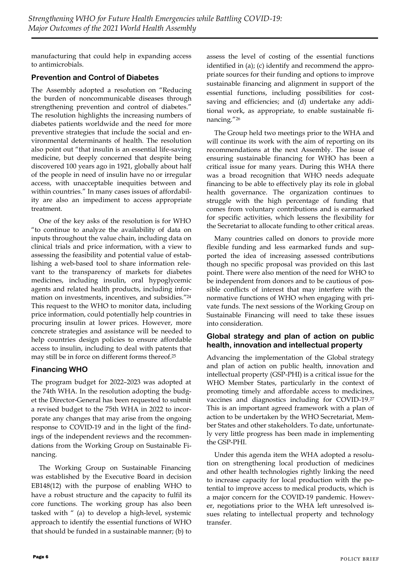manufacturing that could help in expanding access to antimicrobials.

## **Prevention and Control of Diabetes**

The Assembly adopted a resolution on "Reducing the burden of noncommunicable diseases through strengthening prevention and control of diabetes." The resolution highlights the increasing numbers of diabetes patients worldwide and the need for more preventive strategies that include the social and environmental determinants of health. The resolution also point out "that insulin is an essential life-saving medicine, but deeply concerned that despite being discovered 100 years ago in 1921, globally about half of the people in need of insulin have no or irregular access, with unacceptable inequities between and within countries." In many cases issues of affordability are also an impediment to access appropriate treatment.

One of the key asks of the resolution is for WHO "to continue to analyze the availability of data on inputs throughout the value chain, including data on clinical trials and price information, with a view to assessing the feasibility and potential value of establishing a web-based tool to share information relevant to the transparency of markets for diabetes medicines, including insulin, oral hypoglycemic agents and related health products, including information on investments, incentives, and subsidies."<sup>24</sup> This request to the WHO to monitor data, including price information, could potentially help countries in procuring insulin at lower prices. However, more concrete strategies and assistance will be needed to help countries design policies to ensure affordable access to insulin, including to deal with patents that may still be in force on different forms thereof.<sup>25</sup>

## **Financing WHO**

The program budget for 2022–2023 was adopted at the 74th WHA. In the resolution adopting the budget the Director-General has been requested to submit a revised budget to the 75th WHA in 2022 to incorporate any changes that may arise from the ongoing response to COVID-19 and in the light of the findings of the independent reviews and the recommendations from the Working Group on Sustainable Financing.

The Working Group on Sustainable Financing was established by the Executive Board in decision EB148(12) with the purpose of enabling WHO to have a robust structure and the capacity to fulfil its core functions. The working group has also been tasked with " (a) to develop a high-level, systemic approach to identify the essential functions of WHO that should be funded in a sustainable manner; (b) to

assess the level of costing of the essential functions identified in (a); (c) identify and recommend the appropriate sources for their funding and options to improve sustainable financing and alignment in support of the essential functions, including possibilities for costsaving and efficiencies; and (d) undertake any additional work, as appropriate, to enable sustainable financing."<sup>26</sup>

The Group held two meetings prior to the WHA and will continue its work with the aim of reporting on its recommendations at the next Assembly. The issue of ensuring sustainable financing for WHO has been a critical issue for many years. During this WHA there was a broad recognition that WHO needs adequate financing to be able to effectively play its role in global health governance. The organization continues to struggle with the high percentage of funding that comes from voluntary contributions and is earmarked for specific activities, which lessens the flexibility for the Secretariat to allocate funding to other critical areas.

Many countries called on donors to provide more flexible funding and less earmarked funds and supported the idea of increasing assessed contributions though no specific proposal was provided on this last point. There were also mention of the need for WHO to be independent from donors and to be cautious of possible conflicts of interest that may interfere with the normative functions of WHO when engaging with private funds. The next sessions of the Working Group on Sustainable Financing will need to take these issues into consideration.

### **Global strategy and plan of action on public health, innovation and intellectual property**

Advancing the implementation of the [Global strategy](https://www.who.int/phi/publications/Global_Strategy_Plan_Action.pdf?ua=1)  [and plan of action on public health, innovation and](https://www.who.int/phi/publications/Global_Strategy_Plan_Action.pdf?ua=1)  [intellectual property \(GSP-PHI\)](https://www.who.int/phi/publications/Global_Strategy_Plan_Action.pdf?ua=1) is a critical issue for the WHO Member States, particularly in the context of promoting timely and affordable access to medicines, vaccines and diagnostics including for COVID-19.<sup>27</sup> This is an important agreed framework with a plan of action to be undertaken by the WHO Secretariat, Member States and other stakeholders. To date, unfortunately very little progress has been made in implementing the GSP-PHI.

Under this agenda item the WHA adopted a resolution on strengthening local production of medicines and other health technologies rightly linking the need to increase capacity for local production with the potential to improve access to medical products, which is a major concern for the COVID-19 pandemic. However, negotiations prior to the WHA left unresolved issues relating to intellectual property and technology transfer.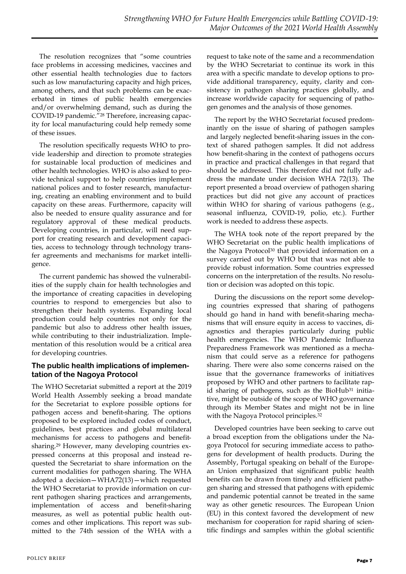The resolution recognizes that "some countries face problems in accessing medicines, vaccines and other essential health technologies due to factors such as low manufacturing capacity and high prices, among others, and that such problems can be exacerbated in times of public health emergencies and/or overwhelming demand, such as during the COVID-19 pandemic."<sup>28</sup> Therefore, increasing capacity for local manufacturing could help remedy some of these issues.

The resolution specifically requests WHO to provide leadership and direction to promote strategies for sustainable local production of medicines and other health technologies. WHO is also asked to provide technical support to help countries implement national polices and to foster research, manufacturing, creating an enabling environment and to build capacity on these areas. Furthermore, capacity will also be needed to ensure quality assurance and for regulatory approval of these medical products. Developing countries, in particular, will need support for creating research and development capacities, access to technology through technology transfer agreements and mechanisms for market intelligence.

The current pandemic has showed the vulnerabilities of the supply chain for health technologies and the importance of creating capacities in developing countries to respond to emergencies but also to strengthen their health systems. Expanding local production could help countries not only for the pandemic but also to address other health issues, while contributing to their industrialization. Implementation of this resolution would be a critical area for developing countries.

### **The public health implications of implementation of the Nagoya Protocol**

The WHO Secretariat submitted a report at the 2019 World Health Assembly seeking a broad mandate for the Secretariat to explore possible options for pathogen access and benefit-sharing. The options proposed to be explored included codes of conduct, guidelines, best practices and global multilateral mechanisms for access to pathogens and benefitsharing.<sup>29</sup> However, many developing countries expressed concerns at this proposal and instead requested the Secretariat to share information on the current modalities for pathogen sharing. The WHA adopted a decision—WHA72(13)—which requested the WHO Secretariat to provide information on current pathogen sharing practices and arrangements, implementation of access and benefit-sharing measures, as well as potential public health outcomes and other implications. This report was submitted to the 74th session of the WHA with a request to take note of the same and a recommendation by the WHO Secretariat to continue its work in this area with a specific mandate to develop options to provide additional transparency, equity, clarity and consistency in pathogen sharing practices globally, and increase worldwide capacity for sequencing of pathogen genomes and the analysis of those genomes.

The report by the WHO Secretariat focused predominantly on the issue of sharing of pathogen samples and largely neglected benefit-sharing issues in the context of shared pathogen samples. It did not address how benefit-sharing in the context of pathogens occurs in practice and practical challenges in that regard that should be addressed. This therefore did not fully address the mandate under decision WHA 72(13). The report presented a broad overview of pathogen sharing practices but did not give any account of practices within WHO for sharing of various pathogens (e.g., seasonal influenza, COVID-19, polio, etc.). Further work is needed to address these aspects.

The WHA took note of the report prepared by the WHO Secretariat on the public health implications of the Nagoya Protocol<sup>30</sup> that provided information on a survey carried out by WHO but that was not able to provide robust information. Some countries expressed concerns on the interpretation of the results. No resolution or decision was adopted on this topic.

During the discussions on the report some developing countries expressed that sharing of pathogens should go hand in hand with benefit-sharing mechanisms that will ensure equity in access to vaccines, diagnostics and therapies particularly during public health emergencies. The WHO Pandemic Influenza Preparedness Framework was mentioned as a mechanism that could serve as a reference for pathogens sharing. There were also some concerns raised on the issue that the governance frameworks of initiatives proposed by WHO and other partners to facilitate rapid sharing of pathogens, such as the BioHub<sup>31</sup> initiative, might be outside of the scope of WHO governance through its Member States and might not be in line with the Nagoya Protocol principles.<sup>32</sup>

Developed countries have been seeking to carve out a broad exception from the obligations under the Nagoya Protocol for securing immediate access to pathogens for development of health products. During the Assembly, Portugal speaking on behalf of the European Union emphasized that significant public health benefits can be drawn from timely and efficient pathogen sharing and stressed that pathogens with epidemic and pandemic potential cannot be treated in the same way as other genetic resources. The European Union (EU) in this context favored the development of new mechanism for cooperation for rapid sharing of scientific findings and samples within the global scientific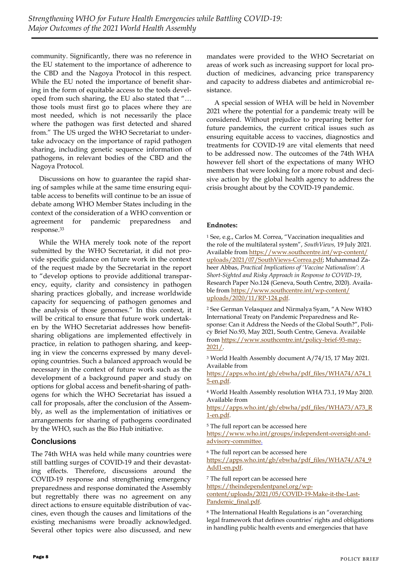community. Significantly, there was no reference in the EU statement to the importance of adherence to the CBD and the Nagoya Protocol in this respect. While the EU noted the importance of benefit sharing in the form of equitable access to the tools developed from such sharing, the EU also stated that "… those tools must first go to places where they are most needed, which is not necessarily the place where the pathogen was first detected and shared from." The US urged the WHO Secretariat to undertake advocacy on the importance of rapid pathogen sharing, including genetic sequence information of pathogens, in relevant bodies of the CBD and the Nagoya Protocol.

Discussions on how to guarantee the rapid sharing of samples while at the same time ensuring equitable access to benefits will continue to be an issue of debate among WHO Member States including in the context of the consideration of a WHO convention or agreement for pandemic preparedness and response.<sup>33</sup>

While the WHA merely took note of the report submitted by the WHO Secretariat, it did not provide specific guidance on future work in the context of the request made by the Secretariat in the report to "develop options to provide additional transparency, equity, clarity and consistency in pathogen sharing practices globally, and increase worldwide capacity for sequencing of pathogen genomes and the analysis of those genomes." In this context, it will be critical to ensure that future work undertaken by the WHO Secretariat addresses how benefitsharing obligations are implemented effectively in practice, in relation to pathogen sharing, and keeping in view the concerns expressed by many developing countries. Such a balanced approach would be necessary in the context of future work such as the development of a background paper and study on options for global access and benefit-sharing of pathogens for which the WHO Secretariat has issued a call for proposals, after the conclusion of the Assembly, as well as the implementation of initiatives or arrangements for sharing of pathogens coordinated by the WHO, such as the Bio Hub initiative.

### **Conclusions**

The 74th WHA was held while many countries were still battling surges of COVID-19 and their devastating effects. Therefore, discussions around the COVID-19 response and strengthening emergency preparedness and response dominated the Assembly but regrettably there was no agreement on any direct actions to ensure equitable distribution of vaccines, even though the causes and limitations of the existing mechanisms were broadly acknowledged. Several other topics were also discussed, and new mandates were provided to the WHO Secretariat on areas of work such as increasing support for local production of medicines, advancing price transparency and capacity to address diabetes and antimicrobial resistance.

A special session of WHA will be held in November 2021 where the potential for a pandemic treaty will be considered. Without prejudice to preparing better for future pandemics, the current critical issues such as ensuring equitable access to vaccines, diagnostics and treatments for COVID-19 are vital elements that need to be addressed now. The outcomes of the 74th WHA however fell short of the expectations of many WHO members that were looking for a more robust and decisive action by the global health agency to address the crisis brought about by the COVID-19 pandemic.

#### **Endnotes:**

<sup>1</sup> See, e.g., Carlos M. Correa, "Vaccination inequalities and the role of the multilateral system", *SouthViews,* 19 July 2021. Available from [https://www.southcentre.int/wp-content/](https://www.southcentre.int/wp-content/uploads/2021/07/SouthViews-Correa.pdf) [uploads/2021/07/SouthViews-Correa.pdf;](https://www.southcentre.int/wp-content/uploads/2021/07/SouthViews-Correa.pdf) Muhammad Zaheer Abbas, *Practical Implications of 'Vaccine Nationalism': A Short-Sighted and Risky Approach in Response to COVID-19*, Research Paper No.124 (Geneva, South Centre, 2020). Available from [https://www.southcentre.int/wp-content/](https://www.southcentre.int/wp-content/uploads/2020/11/RP-124.pdf) [uploads/2020/11/RP-124.pdf.](https://www.southcentre.int/wp-content/uploads/2020/11/RP-124.pdf)

<sup>2</sup> See German Velasquez and Nirmalya Syam, "A New WHO International Treaty on Pandemic Preparedness and Response: Can it Address the Needs of the Global South?", Policy Brief No.93, May 2021, South Centre, Geneva. Available from [https://www.southcentre.int/policy-brief-93-may-](https://www.southcentre.int/policy-brief-93-may-2021/)[2021/.](https://www.southcentre.int/policy-brief-93-may-2021/) 

<sup>3</sup> World Health Assembly document A/74/15, 17 May 2021. Available from

[https://apps.who.int/gb/ebwha/pdf\\_files/WHA74/A74\\_1](https://apps.who.int/gb/ebwha/pdf_files/WHA74/A74_15-en.pdf) [5-en.pdf.](https://apps.who.int/gb/ebwha/pdf_files/WHA74/A74_15-en.pdf) 

<sup>4</sup> World Health Assembly resolution WHA 73.1, 19 May 2020. Available from

[https://apps.who.int/gb/ebwha/pdf\\_files/WHA73/A73\\_R](https://apps.who.int/gb/ebwha/pdf_files/WHA73/A73_R1-en.pdf) [1-en.pdf.](https://apps.who.int/gb/ebwha/pdf_files/WHA73/A73_R1-en.pdf) 

<sup>5</sup> The full report can be accessed here [https://www.who.int/groups/independent-oversight-and](https://www.who.int/groups/independent-oversight-and-advisory-committee)[advisory-committee.](https://www.who.int/groups/independent-oversight-and-advisory-committee)

<sup>6</sup> The full report can be accessed here

[https://apps.who.int/gb/ebwha/pdf\\_files/WHA74/A74\\_9](https://apps.who.int/gb/ebwha/pdf_files/WHA74/A74_9Add1-en.pdf) [Add1-en.pdf.](https://apps.who.int/gb/ebwha/pdf_files/WHA74/A74_9Add1-en.pdf)

<sup>7</sup> The full report can be accessed here

[https://theindependentpanel.org/wp-](https://theindependentpanel.org/wp-content/uploads/2021/05/COVID-19-Make-it-the-Last-Pandemic_final.pdf)

[content/uploads/2021/05/COVID-19-Make-it-the-Last-](https://theindependentpanel.org/wp-content/uploads/2021/05/COVID-19-Make-it-the-Last-Pandemic_final.pdf)[Pandemic\\_final.pdf.](https://theindependentpanel.org/wp-content/uploads/2021/05/COVID-19-Make-it-the-Last-Pandemic_final.pdf)

<sup>8</sup> The International Health Regulations is an "overarching legal framework that defines countries' rights and obligations in handling public health events and emergencies that have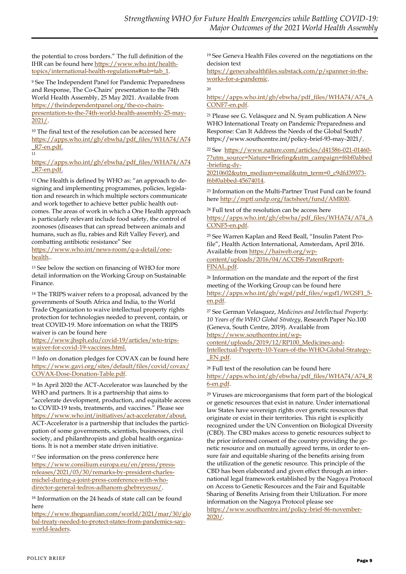the potential to cross borders." The full definition of the IHR can be found here [https://www.who.int/health](https://www.who.int/health-topics/international-health-regulations#tab=tab_1)[topics/international-health-regulations#tab=tab\\_1.](https://www.who.int/health-topics/international-health-regulations#tab=tab_1)

<sup>9</sup> See The Independent Panel for Pandemic Preparedness and Response, The Co-Chairs' presentation to the 74th World Health Assembly, 25 May 2021. Available from [https://theindependentpanel.org/the-co-chairs](https://theindependentpanel.org/the-co-chairs-presentation-to-the-74th-world-health-assembly-25-may-2021/)[presentation-to-the-74th-world-health-assembly-25-may-](https://theindependentpanel.org/the-co-chairs-presentation-to-the-74th-world-health-assembly-25-may-2021/)[2021/.](https://theindependentpanel.org/the-co-chairs-presentation-to-the-74th-world-health-assembly-25-may-2021/)

<sup>10</sup> The final text of the resolution can be accessed here [https://apps.who.int/gb/ebwha/pdf\\_files/WHA74/A74](https://apps.who.int/gb/ebwha/pdf_files/WHA74/A74_R7-en.pdf) [\\_R7-en.pdf.](https://apps.who.int/gb/ebwha/pdf_files/WHA74/A74_R7-en.pdf)  $\frac{1}{11}$ 

[https://apps.who.int/gb/ebwha/pdf\\_files/WHA74/A74](https://apps.who.int/gb/ebwha/pdf_files/WHA74/A74_R7-en.pdf) [\\_R7-en.pdf.](https://apps.who.int/gb/ebwha/pdf_files/WHA74/A74_R7-en.pdf)

<sup>12</sup> One Health is defined by WHO as: "an approach to designing and implementing programmes, policies, legislation and research in which multiple sectors communicate and work together to achieve better public health outcomes. The areas of work in which a One Health approach is particularly relevant include food safety, the control of zoonoses (diseases that can spread between animals and humans, such as flu, rabies and Rift Valley Fever), and combatting antibiotic resistance" See

[https://www.who.int/news-room/q-a-detail/one](https://www.who.int/news-room/q-a-detail/one-health)[health..](https://www.who.int/news-room/q-a-detail/one-health)

<sup>13</sup> See below the section on financing of WHO for more detail information on the Working Group on Sustainable Finance.

<sup>14</sup> The TRIPS waiver refers to a proposal, advanced by the governments of South Africa and India, to the World Trade Organization to waive intellectual property rights protection for technologies needed to prevent, contain, or treat COVID-19. More information on what the TRIPS waiver is can be found here

[https://www.jhsph.edu/covid-19/articles/wto-trips](https://www.jhsph.edu/covid-19/articles/wto-trips-waiver-for-covid-19-vaccines.html)[waiver-for-covid-19-vaccines.html.](https://www.jhsph.edu/covid-19/articles/wto-trips-waiver-for-covid-19-vaccines.html)

<sup>15</sup> Info on donation pledges for COVAX can be found here [https://www.gavi.org/sites/default/files/covid/covax/](https://www.gavi.org/sites/default/files/covid/covax/COVAX-Dose-Donation-Table.pdf) [COVAX-Dose-Donation-Table.pdf.](https://www.gavi.org/sites/default/files/covid/covax/COVAX-Dose-Donation-Table.pdf)

<sup>16</sup> In April 2020 the ACT-Accelerator was launched by the WHO and partners. It is a partnership that aims to "accelerate development, production, and equitable access to COVID-19 tests, treatments, and vaccines." Please see [https://www.who.int/initiatives/act-accelerator/about.](https://www.who.int/initiatives/act-accelerator/about) ACT-Accelerator is a partnership that includes the participation of some governments, scientists, businesses, civil society, and philanthropists and global health organizations. It is not a member state driven initiative.

<sup>17</sup> See information on the press conference here [https://www.consilium.europa.eu/en/press/press](https://www.consilium.europa.eu/en/press/press-releases/2021/03/30/remarks-by-president-charles-michel-during-a-joint-press-conference-with-who-director-general-tedros-adhanom-ghebreyesus/)[releases/2021/03/30/remarks-by-president-charles](https://www.consilium.europa.eu/en/press/press-releases/2021/03/30/remarks-by-president-charles-michel-during-a-joint-press-conference-with-who-director-general-tedros-adhanom-ghebreyesus/)[michel-during-a-joint-press-conference-with-who](https://www.consilium.europa.eu/en/press/press-releases/2021/03/30/remarks-by-president-charles-michel-during-a-joint-press-conference-with-who-director-general-tedros-adhanom-ghebreyesus/)[director-general-tedros-adhanom-ghebreyesus/.](https://www.consilium.europa.eu/en/press/press-releases/2021/03/30/remarks-by-president-charles-michel-during-a-joint-press-conference-with-who-director-general-tedros-adhanom-ghebreyesus/)

<sup>18</sup> Information on the 24 heads of state call can be found here

[https://www.theguardian.com/world/2021/mar/30/glo](https://www.theguardian.com/world/2021/mar/30/global-treaty-needed-to-protect-states-from-pandemics-say-world-leaders) [bal-treaty-needed-to-protect-states-from-pandemics-say](https://www.theguardian.com/world/2021/mar/30/global-treaty-needed-to-protect-states-from-pandemics-say-world-leaders)[world-leaders.](https://www.theguardian.com/world/2021/mar/30/global-treaty-needed-to-protect-states-from-pandemics-say-world-leaders)

<sup>19</sup> See Geneva Health Files covered on the negotiations on the decision text

[https://genevahealthfiles.substack.com/p/spanner-in-the](https://genevahealthfiles.substack.com/p/spanner-in-the-works-for-a-pandemic)[works-for-a-pandemic.](https://genevahealthfiles.substack.com/p/spanner-in-the-works-for-a-pandemic)

#### $20$

[https://apps.who.int/gb/ebwha/pdf\\_files/WHA74/A74\\_A](https://apps.who.int/gb/ebwha/pdf_files/WHA74/A74_ACONF7-en.pdf) [CONF7-en.pdf.](https://apps.who.int/gb/ebwha/pdf_files/WHA74/A74_ACONF7-en.pdf)

<sup>21</sup> Please see G. Velásquez and N. Syam publication A New WHO International Treaty on Pandemic Preparedness and Response: Can It Address the Needs of the Global South? https://www.southcentre.int/policy-brief-93-may-2021/.

22 See [https://www.nature.com/articles/d41586-021-01460-](https://www.nature.com/articles/d41586-021-01460-7?utm_source=Nature+Briefing&utm_campaign=f6bf0abbed-briefing-dy-20210602&utm_medium=email&utm_term=0_c9dfd39373-f6bf0abbed-45674014) [7?utm\\_source=Nature+Briefing&utm\\_campaign=f6bf0abbed](https://www.nature.com/articles/d41586-021-01460-7?utm_source=Nature+Briefing&utm_campaign=f6bf0abbed-briefing-dy-20210602&utm_medium=email&utm_term=0_c9dfd39373-f6bf0abbed-45674014) [-briefing-dy-](https://www.nature.com/articles/d41586-021-01460-7?utm_source=Nature+Briefing&utm_campaign=f6bf0abbed-briefing-dy-20210602&utm_medium=email&utm_term=0_c9dfd39373-f6bf0abbed-45674014)

[20210602&utm\\_medium=email&utm\\_term=0\\_c9dfd39373](https://www.nature.com/articles/d41586-021-01460-7?utm_source=Nature+Briefing&utm_campaign=f6bf0abbed-briefing-dy-20210602&utm_medium=email&utm_term=0_c9dfd39373-f6bf0abbed-45674014) [f6bf0abbed-45674014.](https://www.nature.com/articles/d41586-021-01460-7?utm_source=Nature+Briefing&utm_campaign=f6bf0abbed-briefing-dy-20210602&utm_medium=email&utm_term=0_c9dfd39373-f6bf0abbed-45674014)

<sup>23</sup> Information on the Multi-Partner Trust Fund can be found here [http://mptf.undp.org/factsheet/fund/AMR00.](http://mptf.undp.org/factsheet/fund/AMR00)

<sup>24</sup> Full text of the resolution can be access here [https://apps.who.int/gb/ebwha/pdf\\_files/WHA74/A74\\_A](https://apps.who.int/gb/ebwha/pdf_files/WHA74/A74_ACONF5-en.pdf) [CONF5-en.pdf.](https://apps.who.int/gb/ebwha/pdf_files/WHA74/A74_ACONF5-en.pdf)

<sup>25</sup> See Warren Kaplan and Reed Beall, "Insulin Patent Profile", Health Action International, Amsterdam, April 2016. Available from [https://haiweb.org/wp](https://haiweb.org/wp-content/uploads/2016/04/ACCISS-PatentReport-FINAL.pdf)[content/uploads/2016/04/ACCISS-PatentReport-](https://haiweb.org/wp-content/uploads/2016/04/ACCISS-PatentReport-FINAL.pdf)[FINAL.pdf.](https://haiweb.org/wp-content/uploads/2016/04/ACCISS-PatentReport-FINAL.pdf) 

<sup>26</sup> Information on the mandate and the report of the first meeting of the Working Group can be found here [https://apps.who.int/gb/wgsf/pdf\\_files/wgsf1/WGSF1\\_5](https://apps.who.int/gb/wgsf/pdf_files/wgsf1/WGSF1_5-en.pdf) [en.pdf.](https://apps.who.int/gb/wgsf/pdf_files/wgsf1/WGSF1_5-en.pdf)

<sup>27</sup> See German Velasquez, *Medicines and Intellectual Property: 10 Years of the WHO Global Strategy*, Research Paper No.100 (Geneva, South Centre, 2019). Available from

[https://www.southcentre.int/wp-](https://www.southcentre.int/wp-content/uploads/2019/12/RP100_Medicines-and-Intellectual-Property-10-Years-of-the-WHO-Global-Strategy-_EN.pdf)

[2020/.](https://www.southcentre.int/policy-brief-86-november-2020/)

[content/uploads/2019/12/RP100\\_Medicines-and-](https://www.southcentre.int/wp-content/uploads/2019/12/RP100_Medicines-and-Intellectual-Property-10-Years-of-the-WHO-Global-Strategy-_EN.pdf)[Intellectual-Property-10-Years-of-the-WHO-Global-Strategy-](https://www.southcentre.int/wp-content/uploads/2019/12/RP100_Medicines-and-Intellectual-Property-10-Years-of-the-WHO-Global-Strategy-_EN.pdf) [\\_EN.pdf.](https://www.southcentre.int/wp-content/uploads/2019/12/RP100_Medicines-and-Intellectual-Property-10-Years-of-the-WHO-Global-Strategy-_EN.pdf)

<sup>28</sup> Full text of the resolution can be found here [https://apps.who.int/gb/ebwha/pdf\\_files/WHA74/A74\\_R](https://apps.who.int/gb/ebwha/pdf_files/WHA74/A74_R6-en.pdf) [6-en.pdf.](https://apps.who.int/gb/ebwha/pdf_files/WHA74/A74_R6-en.pdf)

<sup>29</sup> Viruses are microorganisms that form part of the biological or genetic resources that exist in nature. Under international law States have sovereign rights over genetic resources that originate or exist in their territories. This right is explicitly recognized under the UN Convention on Biological Diversity (CBD). The CBD makes access to genetic resources subject to the prior informed consent of the country providing the genetic resource and on mutually agreed terms, in order to ensure fair and equitable sharing of the benefits arising from the utilization of the genetic resource. This principle of the CBD has been elaborated and given effect through an international legal framework established by the Nagoya Protocol on Access to Genetic Resources and the Fair and Equitable Sharing of Benefits Arising from their Utilization. For more information on the Nagoya Protocol please see [https://www.southcentre.int/policy-brief-86-november-](https://www.southcentre.int/policy-brief-86-november-2020/)